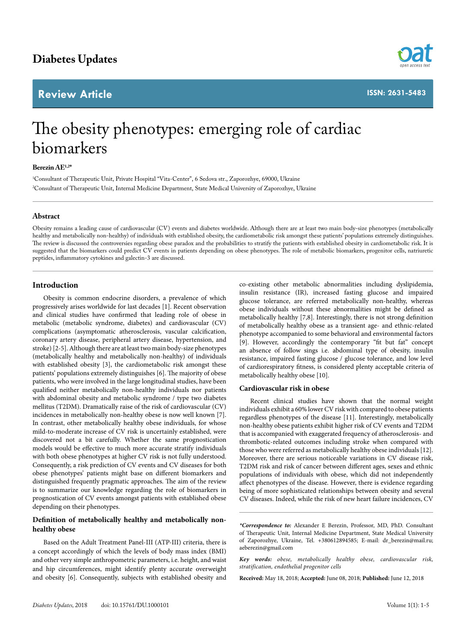## **Review Article**



# The obesity phenotypes: emerging role of cardiac biomarkers

### **Berezin AE1,2\***

1 Consultant of Therapeutic Unit, Private Hospital "Vita-Center", 6 Sedova str., Zaporozhye, 69000, Ukraine 2 Consultant of Therapeutic Unit, Internal Medicine Department, State Medical University of Zaporozhye, Ukraine

#### **Abstract**

Obesity remains a leading cause of cardiovascular (CV) events and diabetes worldwide. Although there are at least two main body-size phenotypes (metabolically healthy and metabolically non-healthy) of individuals with established obesity, the cardiometabolic risk amongst these patients' populations extremely distinguishes. The review is discussed the controversies regarding obese paradox and the probabilities to stratify the patients with established obesity in cardiometabolic risk. It is suggested that the biomarkers could predict CV events in patients depending on obese phenotypes. The role of metabolic biomarkers, progenitor cells, natriuretic peptides, inflammatory cytokines and galectin-3 are discussed.

#### **Introduction**

Obesity is common endocrine disorders, a prevalence of which progressively arises worldwide for last decades [1]. Recent observation and clinical studies have confirmed that leading role of obese in metabolic (metabolic syndrome, diabetes) and cardiovascular (CV) complications (asymptomatic atherosclerosis, vascular calcification, coronary artery disease, peripheral artery disease, hypertension, and stroke) [2-5]. Although there are at least two main body-size phenotypes (metabolically healthy and metabolically non-healthy) of individuals with established obesity [3], the cardiometabolic risk amongst these patients' populations extremely distinguishes [6]. The majority of obese patients, who were involved in the large longitudinal studies, have been qualified neither metabolically non-healthy individuals nor patients with abdominal obesity and metabolic syndrome / type two diabetes mellitus (T2DM). Dramatically raise of the risk of cardiovascular (CV) incidences in metabolically non-healthy obese is now well known [7]. In contrast, other metabolically healthy obese individuals, for whose mild-to-moderate increase of CV risk is uncertainly established, were discovered not a bit carefully. Whether the same prognostication models would be effective to much more accurate stratify individuals with both obese phenotypes at higher CV risk is not fully understood. Consequently, a risk prediction of CV events and CV diseases for both obese phenotypes' patients might base on different biomarkers and distinguished frequently pragmatic approaches. The aim of the review is to summarize our knowledge regarding the role of biomarkers in prognostication of CV events amongst patients with established obese depending on their phenotypes.

### **Definition of metabolically healthy and metabolically nonhealthy obese**

Based on the Adult Treatment Panel-III (ATP-III) criteria, there is a concept accordingly of which the levels of body mass index (BMI) and other very simple anthropometric parameters, i.e. height, and waist and hip circumferences, might identify plenty accurate overweight and obesity [6]. Consequently, subjects with established obesity and

co-existing other metabolic abnormalities including dyslipidemia, insulin resistance (IR), increased fasting glucose and impaired glucose tolerance, are referred metabolically non-healthy, whereas obese individuals without these abnormalities might be defined as metabolically healthy [7,8]. Interestingly, there is not strong definition of metabolically healthy obese as a transient age- and ethnic-related phenotype accompanied to some behavioral and environmental factors [9]. However, accordingly the contemporary "fit but fat" concept an absence of follow sings i.e. abdominal type of obesity, insulin resistance, impaired fasting glucose / glucose tolerance, and low level of cardiorespiratory fitness, is considered plenty acceptable criteria of metabolically healthy obese [10].

#### **Cardiovascular risk in obese**

Recent clinical studies have shown that the normal weight individuals exhibit a 60% lower CV risk with compared to obese patients regardless phenotypes of the disease [11]. Interestingly, metabolically non-healthy obese patients exhibit higher risk of CV events and T2DM that is accompanied with exaggerated frequency of atherosclerosis- and thrombotic-related outcomes including stroke when compared with those who were referred as metabolically healthy obese individuals [12]. Moreover, there are serious noticeable variations in CV disease risk, T2DM risk and risk of cancer between different ages, sexes and ethnic populations of individuals with obese, which did not independently affect phenotypes of the disease. However, there is evidence regarding being of more sophisticated relationships between obesity and several CV diseases. Indeed, while the risk of new heart failure incidences, CV

**Received:** May 18, 2018; **Accepted:** June 08, 2018; **Published:** June 12, 2018

*<sup>\*</sup>Correspondence to:* Alexander E Berezin, Professor, MD, PhD. Consultant of Therapeutic Unit, Internal Medicine Department, State Medical University of Zaporozhye, Ukraine, Tel. +380612894585; E-mail: dr\_berezin@mail.ru; [aeberezin@gmail.com](mailto:aeberezin@gmail.com)

*Key words: obese, metabolically healthy obese, cardiovascular risk, stratification, endothelial progenitor cells*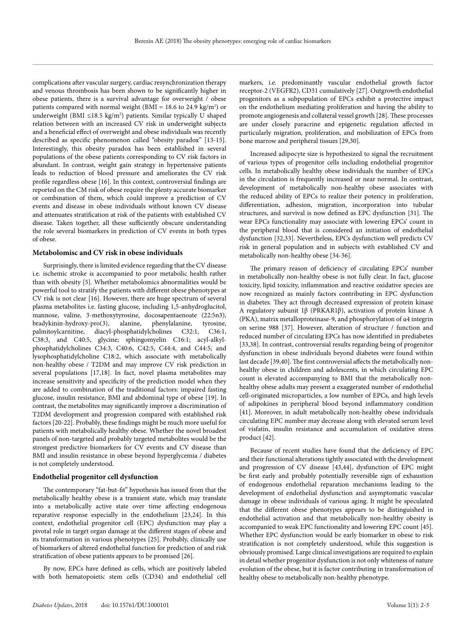complications after vascular surgery, cardiac resynchronization therapy and venous thrombosis has been shown to be significantly higher in obese patients, there is a survival advantage for overweight / obese patients compared with normal weight (BMI = 18.6 to 24.9 kg/m<sup>2</sup>) or underweight (BMI ≤18.5 kg/m<sup>2</sup>) patients. Similar typically U shaped relation between with an increased CV risk in underweight subjects and a beneficial effect of overweight and obese individuals was recently described as specific phenomenon called "obesity paradox" [13-15]. Interestingly, this obesity paradox has been established in several populations of the obese patients corresponding to CV risk factors in abundant. In contrast, weight gain strategy in hypertensive patients leads to reduction of blood pressure and ameliorates the CV risk profile regardless obese [16]. In this context, сontroversial findings are reported on the СМ risk of obese require the plenty accurate biomarker or combination of them, which could improve a prediction of CV events and disease in obese individuals without known CV disease and attenuates stratification at risk of the patients with established CV disease. Taken together, all these sufficiently obscure understanding the role several biomarkers in prediction of CV events in both types of obese.

#### **Metabolomisc and CV risk in obese individuals**

Surprisingly, there is limited evidence regarding that the CV disease i.e. ischemic stroke is accompanied to poor metabolic health rather than with obesity [5]. Whether metabolomics abnormalities would be powerful tool to stratify the patients with different obese phenotypes at CV risk is not clear [16]. However, there are huge spectrum of several plasma metabolites i.e. fasting glucose, including 1,5-anhydroglucitol, mannose, valine, 3-methoxytyrosine, docosapentaenoate (22:5n3), bradykinin-hydroxy-pro(3), alanine, phenylalanine, tyrosine, palmitoylcarnitine, diacyl-phosphatidylcholines C32:1, C36:1, C38:3, and C40:5, glycine; sphingomyelin C16:1; acyl-alkylphosphatidylcholines C34:3, C40:6, C42:5, C44:4, and C44:5; and lysophosphatidylcholine C18:2, which associate with metabolically non-healthy obese / T2DM and may improve CV risk prediction in several populations [17,18]. In fact, novel plasma metabolites may increase sensitivity and specificity of the prediction model when they are added to combination of the traditional factors: impaired fasting glucose, insulin resistance, BMI and abdominal type of obese [19]. In contrast, the metabolites may significantly improve a discrimination of T2DM development and progression compared with established risk factors [20-22]. Probably, these findings might be much more useful for patients with metabolically healthy obese. Whether the novel broadest panels of non-targeted and probably targeted metabolites would be the strongest predictive biomarkers for CV events and CV disease than BMI and insulin resistance in obese beyond hyperglycemia / diabetes is not completely understood.

#### **Endothelial progenitor cell dysfunction**

The contemporary "fat-but-fit" hypothesis has issued from that the metabolically healthy obese is a transient state, which may translate into a metabolically active state over time affecting endogenous reparative response especially in the endothelium [23,24]. In this context, endothelial progenitor cell (EPC) dysfunction may play a pivotal role in target organ damage at the different stages of obese and its transformation in various phenotypes [25]. Probably, clinically use of biomarkers of altered endothelial function for prediction of and risk stratification of obese patients appears to be promised [26].

By now, EPCs have defined as cells, which are positively labeled with both hematopoietic stem cells (CD34) and endothelial cell

markers, i.e. predominantly vascular endothelial growth factor receptor-2 (VEGFR2), CD31 cumulatively [27]. Outgrowth endothelial progenitors as a subpopulation of EPCs exhibit a protective impact on the endothelium mediating proliferation and having the ability to promote angiogenesis and collateral vessel growth [28]. These processes are under closely paracrine and epigenetic regulation affected in particularly migration, proliferation, and mobilization of EPCs from bone marrow and peripheral tissues [29,30].

Increased adipocyte size is hypothesized to signal the recruitment of various types of progenitor cells including endothelial progenitor cells. In metabolically healthy obese individuals the number of EPCs in the circulation is frequently increased or near normal. In contrast, development of metabolically non-healthy obese associates with the reduced ability of EPCs to realize their potency in proliferation, differentiation, adhesion, migration, incorporation into tubular structures, and survival is now defined as EPC dysfunction [31]. The wear EPCs functionality may associate with lowering EPCs' count in the peripheral blood that is considered an initiation of endothelial dysfunction [32,33]. Nevertheless, EPCs dysfunction well predicts CV risk in general population and in subjects with established CV and metabolically non-healthy obese [34-36].

The primary reason of deficiency of circulating EPCs' number in metabolically non-healthy obese is not fully clear. In fact, glucose toxicity, lipid toxicity, inflammation and reactive oxidative species are now recognized as mainly factors contributing in EPC dysfunction in diabetes. They act through decreased expression of protein kinase A regulatory subunit 1β (PRKAR1β), activation of protein kinase A (PKA), matrix metalloproteinase-9, and phosphorylation of α4 integrin on serine 988 [37]. However, alteration of structure / function and reduced number of circulating EPCs has now identified in prediabetes [33,38]. In contrast, controversial results regarding being of progenitor dysfunction in obese individuals beyond diabetes were found within last decade [39,40]. The first controversial affects the metabolically nonhealthy obese in children and adolescents, in which circulating EPC count is elevated accompanying to BMI that the metabolically nonhealthy obese adults may present a exaggerated number of endothelial cell-originated microparticles, a low number of EPCs, and high levels of adipokines in peripheral blood beyond inflammatory condition [41]. Moreover, in adult metabolically non-healthy obese individuals circulating EPC number may decrease along with elevated serum level of visfatin, insulin resistance and accumulation of oxidative stress product [42].

Because of recent studies have found that the deficiency of EPC and their functional alterations tightly associated with the development and progression of CV disease [43,44], dysfunction of EPC might be first early and probably potentially reversible sign of exhaustion of endogenous endothelial reparation mechanisms leading to the development of endothelial dysfunction and asymptomatic vascular damage in obese individuals of various aging. It might be speculated that the different obese phenotypes appears to be distinguished in endothelial activation and that metabolically non-healthy obesity is accompanied to weak EPC functionality and lowering EPC count [45]. Whether EPC dysfunction would be early biomarker in obese to risk stratification is not completely understood, while this suggestion is obviously promised. Large clinical investigations are required to explain in detail whether progenitor dysfunction is not only whiteness of nature evolution of the obese, but it is factor contributing in transformation of healthy obese to metabolically non-healthy phenotype.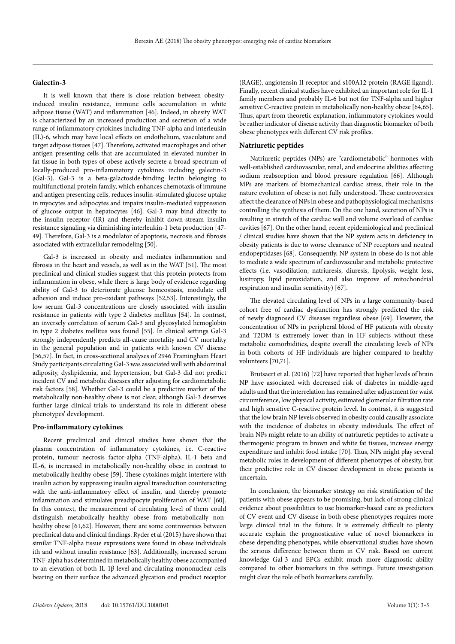#### **Galectin-3**

It is well known that there is close relation between obesityinduced insulin resistance, immune cells accumulation in white adipose tissue (WAT) and inflammation [46]. Indeed, in obesity WAT is characterized by an increased production and secretion of a wide range of inflammatory cytokines including TNF-alpha and interleukin (IL)-6, which may have local effects on endothelium, vasculature and target adipose tissues [47]. Therefore, activated macrophages and other antigen presenting cells that are accumulated in elevated number in fat tissue in both types of obese actively secrete a broad spectrum of locally-produced pro-inflammatory cytokines including galectin-3 (Gal-3). Gal-3 is a beta-galactoside-binding lectin belonging to multifunctional protein family, which enhances chemotaxis of immune and antigen presenting cells, reduces insulin-stimulated glucose uptake in myocytes and adipocytes and impairs insulin-mediated suppression of glucose output in hepatocytes [46]. Gal-3 may bind directly to the insulin receptor (IR) and thereby inhibit down-stream insulin resistance signaling via diminishing interleukin-1 beta production [47- 49]. Therefore, Gal-3 is a modulator of apoptosis, necrosis and fibrosis associated with extracellular remodeling [50].

Gal-3 is increased in obesity and mediates inflammation and fibrosis in the heart and vessels, as well as in the WAT [51]. The most preclinical and clinical studies suggest that this protein protects from inflammation in obese, while there is large body of evidence regarding ability of Gal-3 to deteriorate glucose homeostasis, modulate cell adhesion and induce pro-oxidant pathways [52,53]. Interestingly, the low serum Gal-3 concentrations are closely associated with insulin resistance in patients with type 2 diabetes mellitus [54]. In contrast, an inversely correlation of serum Gal-3 and glycosylated hemoglobin in type 2 diabetes mellitus was found [55]. In clinical settings Gal-3 strongly independently predicts all-cause mortality and CV mortality in the general population and in patients with known CV disease [56,57]. In fact, in cross-sectional analyses of 2946 Framingham Heart Study participants circulating Gal-3 was associated well with abdominal adiposity, dyslipidemia, and hypertension, but Gal-3 did not predict incident CV and metabolic diseases after adjusting for cardiometabolic risk factors [58]. Whether Gal-3 could be a predictive marker of the metabolically non-healthy obese is not clear, although Gal-3 deserves further large clinical trials to understand its role in different obese phenotypes' development.

#### **Pro-inflammatory cytokines**

Recent preclinical and clinical studies have shown that the plasma concentration of inflammatory cytokines, i.e. C-reactive protein, tumour necrosis factor-alpha (TNF-alpha), IL-1 beta and IL-6, is increased in metabolically non-healthy obese in contrast to metabolically healthy obese [59]. These cytokines might interfere with insulin action by suppressing insulin signal transduction counteracting with the anti-inflammatory effect of insulin, and thereby promote inflammation and stimulates preadipocyte proliferation of WAT [60]. In this context, the measurement of circulating level of them could distinguish metabolically healthy obese from metabolically nonhealthy obese [61,62]. However, there are some controversies between preclinical data and clinical findings. Ryder et al (2015) have shown that similar TNF-alpha tissue expressions were found in obese individuals ith and without insulin resistance [63]. Additionally, increased serum TNF-alpha has determined in metabolically healthy obese accompanied to an elevation of both IL-1β level and circulating mononuclear cells bearing on their surface the advanced glycation end product receptor

(RAGE), angiotensin II receptor and s100A12 protein (RAGE ligand). Finally, recent clinical studies have exhibited an important role for IL-1 family members and probably IL-6 but not for TNF-alpha and higher sensitive C-reactive protein in metabolically non-healthy obese [64,65]. Thus, apart from theoretic explanation, inflammatory cytokines would be rather indicator of disease activity than diagnostic biomarker of both obese phenotypes with different CV risk profiles.

#### **Natriuretic peptides**

Natriuretic peptides (NPs) are "cardiometabolic" hormones with well-established cardiovascular, renal, and endocrine abilities affecting sodium reabsorption and blood pressure regulation [66]. Although MPs are markers of biomechanical cardiac stress, their role in the nature evolution of obese is not fully understood. These controversies affect the clearance of NPs in obese and pathophysiological mechanisms controlling the synthesis of them. On the one hand, secretion of NPs is resulting in stretch of the cardiac wall and volume overload of cardiac cavities [67]. On the other hand, recent epidemiological and preclinical / clinical studies have shown that the NP system acts in deficiency in obesity patients is due to worse clearance of NP receptors and neutral endopeptidases [68]. Consequently, NP system in obese do is not able to mediate a wide spectrum of cardiovascular and metabolic protective effects (i.e. vasodilation, natriuresis, diuresis, lipolysis, weight loss, lusitropy, lipid peroxidation, and also improve of mitochondrial respiration and insulin sensitivity) [67].

The elevated circulating level of NPs in a large community-based cohort free of cardiac dysfunction has strongly predicted the risk of newly diagnosed CV diseases regardless obese [69]. However, the concentration of NPs in peripheral blood of HF patients with obesity and T2DM is extremely lower than in HF subjects without these metabolic comorbidities, despite overall the circulating levels of NPs in both cohorts of HF individuals are higher compared to healthy volunteers [70,71].

Brutsaert et al. (2016) [72] have reported that higher levels of brain NP have associated with decreased risk of diabetes in middle-aged adults and that the interrelation has remained after adjustment for waist circumference, low physical activity, estimated glomerular filtration rate and high sensitive C-reactive protein level. In contrast, it is suggested that the low brain NP levels observed in obesity could causally associate with the incidence of diabetes in obesity individuals. The effect of brain NPs might relate to an ability of natriuretic peptides to activate a thermogenic program in brown and white fat tissues, increase energy expenditure and inhibit food intake [70]. Thus, NPs might play several metabolic roles in development of different phenotypes of obesity, but their predictive role in CV disease development in obese patients is uncertain.

In conclusion, the biomarker strategy on risk stratification of the patients with obese appears to be promising, but lack of strong clinical evidence about possibilities to use biomarker-based care as predictors of CV event and CV disease in both obese phenotypes requires more large clinical trial in the future. It is extremely difficult to plenty accurate explain the prognosticative value of novel biomarkers in obese depending phenotypes, while observational studies have shown the serious difference between them in CV risk. Based on current knowledge Gal-3 and EPCs exhibit much more diagnostic ability compared to other biomarkers in this settings. Future investigation might clear the role of both biomarkers carefully.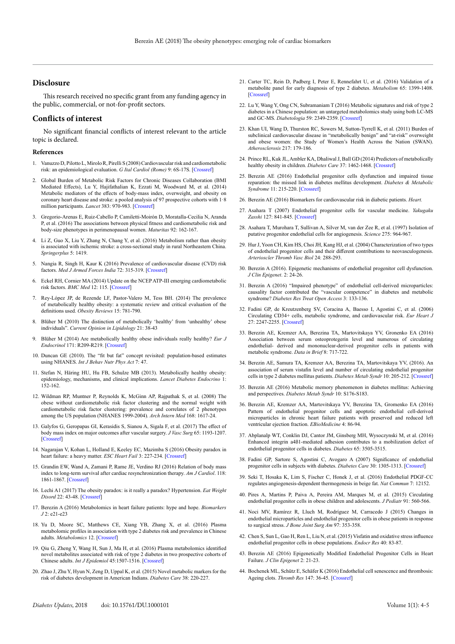#### **Disclosure**

This research received no specific grant from any funding agency in the public, commercial, or not-for-profit sectors.

#### **Conflicts of interest**

No significant financial conflicts of interest relevant to the article topic is declared.

#### **References**

- 1. Vanuzzo D, Pilotto L, Mirolo R, Pirelli S (2008) Cardiovascular risk and cardiometabolic risk: an epidemiological evaluation. *G Ital Cardiol (Rome)* 9: 6S-17S. [\[Crossref\]](http://www.ncbi.nlm.nih.gov/pubmed/18773746)
- 2. Global Burden of Metabolic Risk Factors for Chronic Diseases Collaboration (BMI Mediated Effects), Lu Y, Hajifathalian K, Ezzati M, Woodward M, et al. (2014) Metabolic mediators of the effects of body-mass index, overweight, and obesity on coronary heart disease and stroke: a pooled analysis of 97 prospective cohorts with 1·8 million participants. *Lancet* 383: 970-983. [\[Crossref\]](https://www.ncbi.nlm.nih.gov/pubmed/24269108)
- 3. Gregorio-Arenas E, Ruiz-Cabello P, Camiletti-Moirón D, Moratalla-Cecilia N, Aranda P, et al. (2016) The associations between physical fitness and cardiometabolic risk and body-size phenotypes in perimenopausal women. *Maturitas* 92: 162-167.
- 4. Li Z, Guo X, Liu Y, Zhang N, Chang Y, et al. (2016) Metabolism rather than obesity is associated with ischemic stroke: a cross-sectional study in rural Northeastern China. *Springerplus* 5: 1419.
- 5. Nangia R, Singh H, Kaur K (2016) Prevalence of cardiovascular disease (CVD) risk factors. *Med J Armed Forces India* 72: 315-319. [\[Crossref\]](http://www.ncbi.nlm.nih.gov/pubmed/27843176)
- 6. Eckel RH, Cornier MA (2014) Update on the NCEP ATP-III emerging cardiometabolic risk factors. *BMC Med* 12: 115. [\[Crossref\]](http://www.ncbi.nlm.nih.gov/pubmed/25154373)
- 7. Rey-López JP, de Rezende LF, Pastor-Valero M, Tess BH. (2014) The prevalence of metabolically healthy obesity: a systematic review and critical evaluation of the definitions used. *Obesity Reviews* 15: 781-790.
- 8. Blüher M (2010) The distinction of metabolically 'healthy' from 'unhealthy' obese individuals". *Current Opinion in Lipidology* 21: 38-43
- 9. Blüher M (2014) Are metabolically healthy obese individuals really healthy? *Eur J Endocrinol* 171: R209-R219. [\[Crossref\]](http://www.ncbi.nlm.nih.gov/pubmed/25012199)
- 10. Duncan GE (2010). The "fit but fat" concept revisited: population-based estimates using NHANES. *Int J Behav Nutr Phys Act* 7: 47.
- 11. Stefan N, Häring HU, Hu FB, Schulze MB (2013). Metabolically healthy obesity: epidemiology, mechanisms, and clinical implications. *Lancet Diabetes Endocrino* 1: 152-162.
- 12. Wildman RP, Muntner P, Reynolds K, McGinn AP, Rajpathak S, et al. (2008) The obese without cardiometabolic risk factor clustering and the normal weight with cardiometabolic risk factor clustering: prevalence and correlates of 2 phenotypes among the US population (NHANES 1999-2004). *Arch Intern Med* 168: 1617-24.
- 13. Galyfos G, Geropapas GI, Kerasidis S, Sianou A, Sigala F, et al. (2017) The effect of body mass index on major outcomes after vascular surgery. *J Vasc Surg* 65: 1193-1207. [\[Crossref\]](http://www.ncbi.nlm.nih.gov/pubmed/27876519)
- 14. Nagarajan V, Kohan L, Holland E, Keeley EC, Mazimba S (2016) Obesity paradox in heart failure: a heavy matter. *ESC Heart Fail* 3: 227-234. [\[Crossref\]](http://www.ncbi.nlm.nih.gov/pubmed/27867523)
- 15. Grandin EW, Wand A, Zamani P, Rame JE, Verdino RJ (2016) Relation of body mass index to long-term survival after cardiac resynchronization therapy. *Am J Cardiol*. 118: 1861-1867. [\[Crossref\]](https://www.ncbi.nlm.nih.gov/pubmed/27823599)
- 16. Lechi A1 (2017) The obesity paradox: is it really a paradox? Hypertension. *Eat Weight Disord* 22: 43-48. [\[Crossref\]](http://www.ncbi.nlm.nih.gov/pubmed/27812911)
- 17. Berezin A (2016) Metabolomics in heart failure patients: hype and hope. *Biomarkers J* 2: e21-e23
- 18. Yu D, Moore SC, Matthews CE, Xiang YB, Zhang X, et al. (2016) Plasma metabolomic profiles in association with type 2 diabetes risk and prevalence in Chinese adults. *Metabolomics* 12. [\[Crossref\]](http://www.ncbi.nlm.nih.gov/pubmed/27840598)
- 19. Qiu G, Zheng Y, Wang H, Sun J, Ma H, et al. (2016) Plasma metabolomics identified novel metabolites associated with risk of type 2 diabetes in two prospective cohorts of Chinese adults. *Int J Epidemiol* 45:1507-1516. [[Crossref](https://www.ncbi.nlm.nih.gov/pubmed/27694567)]
- 20. Zhao J, Zhu Y, Hyun N, Zeng D, Uppal K, et al. (2015) Novel metabolic markers for the risk of diabetes development in American Indians. *Diabetes Care* 38: 220-227.
- 21. Carter TC, Rein D, Padberg I, Peter E, Rennefahrt U, et al. (2016) Validation of a metabolite panel for early diagnosis of type 2 diabetes. *Metabolism* 65: 1399-1408. [\[Crossref\]](http://www.ncbi.nlm.nih.gov/pubmed/27506746)
- 22. Lu Y, Wang Y, Ong CN, Subramaniam T (2016) Metabolic signatures and risk of type 2 diabetes in a Chinese population: an untargeted metabolomics study using both LC-MS and GC-MS. *Diabetologia* 59: 2349-2359. [\[Crossref\]](http://www.ncbi.nlm.nih.gov/pubmed/27514531)
- 23. Khan UI, Wang D, Thurston RC, Sowers M, Sutton-Tyrrell K, et al. (2011) Burden of subclinical cardiovascular disease in "metabolically benign" and "at-risk" overweight and obese women: the Study of Women's Health Across the Nation (SWAN). *Atherosclerosis* 217: 179-186.
- 24. Prince RL, Kuk JL, Ambler KA, Dhaliwal J, Ball GD (2014) Predictors of metabolically healthy obesity in children. *Diabetes Care* 37: 1462-1468. [\[Crossref\]](http://www.ncbi.nlm.nih.gov/pubmed/24574347)
- 25. Berezin AE (2016) Endothelial progenitor cells dysfunction and impaired tissue reparation: the missed link in diabetes mellitus development. *Diabetes & Metabolic Syndrome* 11: 215-220. [[Crossref](https://www.ncbi.nlm.nih.gov/pubmed/27578620)]
- 26. Berezin AE (2016) Biomarkers for cardiovascular risk in diabetic patients. *Heart.*
- 27. Asahara T (2007) Endothelial progenitor cells for vascular medicine. *Yakugaku Zasshi* 127: 841-845. [\[Crossref\]](http://www.ncbi.nlm.nih.gov/pubmed/17473526)
- 28. Asahara T, Murohara T, Sullivan A, Silver M, van der Zee R, et al. (1997) Isolation of putative progenitor endothelial cells for angiogenesis. *Science* 275: 964-967.
- 29. Hur J, Yoon CH, Kim HS, Choi JH, Kang HJ, et al. (2004) Characterization of two types of endothelial progenitor cells and their different contributions to neovasculogenesis. *Arterioscler Thromb Vasc Biol* 24: 288-293.
- 30. Berezin A (2016). Epigenetic mechanisms of endothelial progenitor cell dysfunction. *J Clin Epigenet*. 2: 24-26.
- 31. Berezin A (2016) "Impaired phenotype" of endothelial cell-derived microparticles: causality factor contributed the "vascular competence" in diabetes and metabolic syndrome? *Diabetes Res Treat Open Access* 3: 133-136.
- 32. Fadini GP, de Kreutzenberg SV, Coracina A, Baesso I, Agostini C, et al. (2006) Circulating CD34+ cells, metabolic syndrome, and cardiovascular risk. *Eur Heart J*  27: 2247-2255. [\[Crossref\]](http://www.ncbi.nlm.nih.gov/pubmed/16912055)
- 33. Berezin AE, Kremzer AA, Berezina TA, Martovitskaya YV, Gronenko EA (2016) Association between serum osteoprotegerin level and numerous of circulating endothelial- derived and mononuclear-derived progenitor cells in patients with metabolic syndrome. *Data in Brief* 8: 717-722.
- 34. Berezin AE, Samura TA, Kremzer AA, Berezina TA, Martovitskaya YV, (2016). An association of serum vistafin level and number of circulating endothelial progenitor cells in type 2 diabetes mellitus patients. *Diabetes Metab Syndr* 10: 205-212. [[Crossref\]](https://www.ncbi.nlm.nih.gov/pubmed/27377688)
- 35. Berezin AE (2016) Metabolic memory phenomenon in diabetes mellitus: Achieving and perspectives. *Diabetes Metab Syndr* 10: S176-S183.
- 36. Berezin AE, Kremzer AA, Martovitskaya YV, Berezina TA, Gromenko EA (2016) Pattern of endothelial progenitor cells and apoptotic endothelial cell-derived microparticles in chronic heart failure patients with preserved and reduced left ventricular ejection fraction. *EBioMedicine* 4: 86-94.
- 37. Abplanalp WT, Conklin DJ, Cantor JM, Ginsberg MH, Wysoczynski M, et al. (2016) Enhanced integrin a4ß1-mediated adhesion contributes to a mobilization defect of endothelial progenitor cells in diabetes. *Diabetes* 65: 3505-3515.
- 38. Fadini GP, Sartore S, Agostini C, Avogaro A (2007) Significance of endothelial progenitor cells in subjects with diabetes. *Diabetes Care* 30: 1305-1313. [\[Crossref\]](http://www.ncbi.nlm.nih.gov/pubmed/17277037)
- 39. Seki T, Hosaka K, Lim S, Fischer C, Honek J, et al. (2016) Endothelial PDGF-CC regulates angiogenesis-dependent thermogenesis in beige fat. *Nat Commun* 7: 12152.
- 40. Pires A, Martins P, Paiva A, Pereira AM, Marques M, et al. (2015) Circulating endothelial progenitor cells in obese children and adolescents. *J Pediatr* 91: 560-566.
- 41. Noci MV, Ramírez R, Lluch M, Rodríguez M, Carracedo J (2015) Changes in endothelial microparticles and endothelial progenitor cells in obese patients in response to surgical stress. *J Bone Joint Surg Am* 97: 353-358.
- 42. Chen S, Sun L, Gao H, Ren L, Liu N, et al. (2015) Visfatin and oxidative stress influence endothelial progenitor cells in obese populations. *Endocr Res* 40: 83-87.
- 43. Berezin AE (2016) Epigenetically Modified Endothelial Progenitor Cells in Heart Failure. *J Clin Epigenet* 2: 21-23.
- 44. Bochenek ML, Schütz E, Schäfer K (2016) Endothelial cell senescence and thrombosis: Ageing clots. *Thromb Res* 147: 36-45. [\[Crossref\]](http://www.ncbi.nlm.nih.gov/pubmed/27669126)